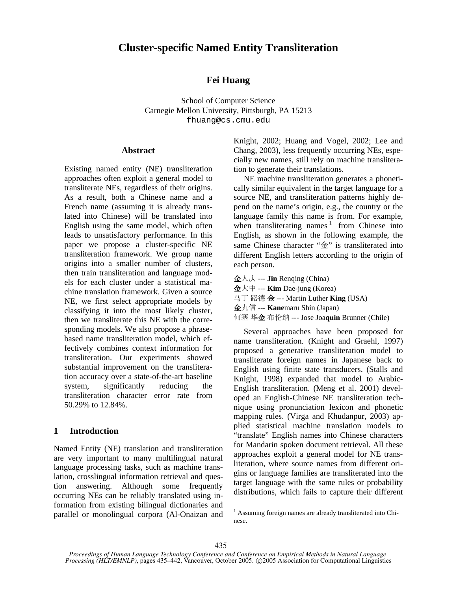# **Cluster-specific Named Entity Transliteration**

# **Fei Huang**

School of Computer Science Carnegie Mellon University, Pittsburgh, PA 15213 fhuang@cs.cmu.edu

#### **Abstract**

Existing named entity (NE) transliteration approaches often exploit a general model to transliterate NEs, regardless of their origins. As a result, both a Chinese name and a French name (assuming it is already translated into Chinese) will be translated into English using the same model, which often leads to unsatisfactory performance. In this paper we propose a cluster-specific NE transliteration framework. We group name origins into a smaller number of clusters, then train transliteration and language models for each cluster under a statistical machine translation framework. Given a source NE, we first select appropriate models by classifying it into the most likely cluster, then we transliterate this NE with the corresponding models. We also propose a phrasebased name transliteration model, which effectively combines context information for transliteration. Our experiments showed substantial improvement on the transliteration accuracy over a state-of-the-art baseline system, significantly reducing the transliteration character error rate from 50.29% to 12.84%.

# **1 Introduction**

Named Entity (NE) translation and transliteration are very important to many multilingual natural language processing tasks, such as machine translation, crosslingual information retrieval and question answering. Although some frequently occurring NEs can be reliably translated using information from existing bilingual dictionaries and parallel or monolingual corpora (Al-Onaizan and Knight, 2002; Huang and Vogel, 2002; Lee and Chang, 2003), less frequently occurring NEs, especially new names, still rely on machine transliteration to generate their translations.

NE machine transliteration generates a phonetically similar equivalent in the target language for a source NE, and transliteration patterns highly depend on the name's origin, e.g., the country or the language family this name is from. For example, when transliterating names  $1$  from Chinese into English, as shown in the following example, the same Chinese character "金" is transliterated into different English letters according to the origin of each person.

金人庆 --- **Jin** Renqing (China) 金大中 --- **Kim** Dae-jung (Korea) 马丁 路德 金 --- Martin Luther **King** (USA) 金丸信 --- **Kane**maru Shin (Japan) 何塞 华金 布伦纳 --- Jose Joa**quin** Brunner (Chile)

Several approaches have been proposed for name transliteration. (Knight and Graehl, 1997) proposed a generative transliteration model to transliterate foreign names in Japanese back to English using finite state transducers. (Stalls and Knight, 1998) expanded that model to Arabic-English transliteration. (Meng et al. 2001) developed an English-Chinese NE transliteration technique using pronunciation lexicon and phonetic mapping rules. (Virga and Khudanpur, 2003) applied statistical machine translation models to "translate" English names into Chinese characters for Mandarin spoken document retrieval. All these approaches exploit a general model for NE transliteration, where source names from different origins or language families are transliterated into the target language with the same rules or probability distributions, which fails to capture their different

 $\overline{a}$ 

<sup>&</sup>lt;sup>1</sup> Assuming foreign names are already transliterated into Chinese.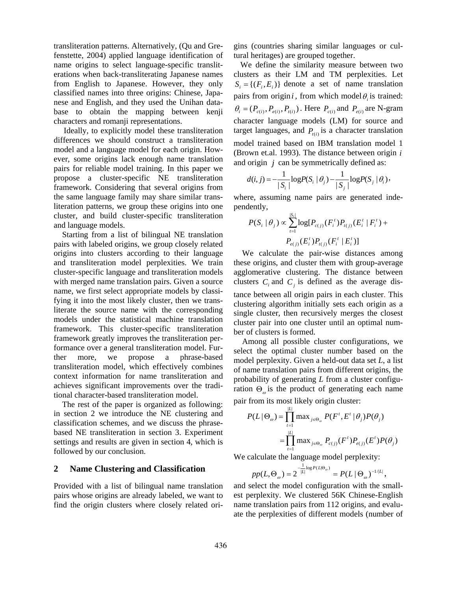transliteration patterns. Alternatively, (Qu and Grefenstette, 2004) applied language identification of name origins to select language-specific transliterations when back-transliterating Japanese names from English to Japanese. However, they only classified names into three origins: Chinese, Japanese and English, and they used the Unihan database to obtain the mapping between kenji characters and romanji representations.

Ideally, to explicitly model these transliteration differences we should construct a transliteration model and a language model for each origin. However, some origins lack enough name translation pairs for reliable model training. In this paper we propose a cluster-specific NE transliteration framework. Considering that several origins from the same language family may share similar transliteration patterns, we group these origins into one cluster, and build cluster-specific transliteration and language models.

Starting from a list of bilingual NE translation pairs with labeled origins, we group closely related origins into clusters according to their language and transliteration model perplexities. We train cluster-specific language and transliteration models with merged name translation pairs. Given a source name, we first select appropriate models by classifying it into the most likely cluster, then we transliterate the source name with the corresponding models under the statistical machine translation framework. This cluster-specific transliteration framework greatly improves the transliteration performance over a general transliteration model. Further more, we propose a phrase-based transliteration model, which effectively combines context information for name transliteration and achieves significant improvements over the traditional character-based transliteration model.

The rest of the paper is organized as following: in section 2 we introduce the NE clustering and classification schemes, and we discuss the phrasebased NE transliteration in section 3. Experiment settings and results are given in section 4, which is followed by our conclusion.

#### **2 Name Clustering and Classification**

Provided with a list of bilingual name translation pairs whose origins are already labeled, we want to find the origin clusters where closely related origins (countries sharing similar languages or cultural heritages) are grouped together.

We define the similarity measure between two clusters as their LM and TM perplexities. Let  $S_i = \{(F_i, E_i)\}\)$  denote a set of name translation pairs from origin *i*, from which model  $\theta$  is trained:  $\theta_i = (P_{c(i)}, P_{e(i)}, P_{t(i)})$ . Here  $P_{c(i)}$  and  $P_{e(i)}$  are N-gram character language models (LM) for source and target languages, and  $P_{t(i)}$  is a character translation model trained based on IBM translation model 1 (Brown et.al. 1993). The distance between origin *i* and origin *j* can be symmetrically defined as:

$$
d(i, j) = -\frac{1}{|S_i|} \log P(S_i | \theta_j) - \frac{1}{|S_j|} \log P(S_j | \theta_i),
$$

where, assuming name pairs are generated independently,

$$
P(S_i | \theta_j) \propto \sum_{t=1}^{|S_i|} \log[P_{c(j)}(F_i^t) P_{t(j)}(E_i^t | F_i^t) +
$$
  

$$
P_{e(j)}(E_i^t) P_{t(j)}(F_i^t | E_i^t)]
$$

We calculate the pair-wise distances among these origins, and cluster them with group-average agglomerative clustering. The distance between clusters  $C_i$  and  $C_j$  is defined as the average distance between all origin pairs in each cluster. This clustering algorithm initially sets each origin as a single cluster, then recursively merges the closest cluster pair into one cluster until an optimal number of clusters is formed.

Among all possible cluster configurations, we select the optimal cluster number based on the model perplexity. Given a held-out data set *L*, a list of name translation pairs from different origins, the probability of generating *L* from a cluster configuration  $\Theta_{\omega}$  is the product of generating each name pair from its most likely origin cluster:

$$
P(L | \Theta_{\omega}) = \prod_{i=1}^{|L|} \max_{j \in \Theta_{\omega}} P(F^t, E^t | \theta_j) P(\theta_j)
$$
  
= 
$$
\prod_{i=1}^{|L|} \max_{j \in \Theta_{\omega}} P_{c(j)}(F^t) P_{e(j)}(E^t) P(\theta_j)
$$

We calculate the language model perplexity:

$$
pp(L, \Theta_{\omega}) = 2^{-\frac{1}{|L|}\log P(L|\Theta_{\omega})} = P(L | \Theta_{\omega})^{-1/|L|},
$$

and select the model configuration with the smallest perplexity. We clustered 56K Chinese-English name translation pairs from 112 origins, and evaluate the perplexities of different models (number of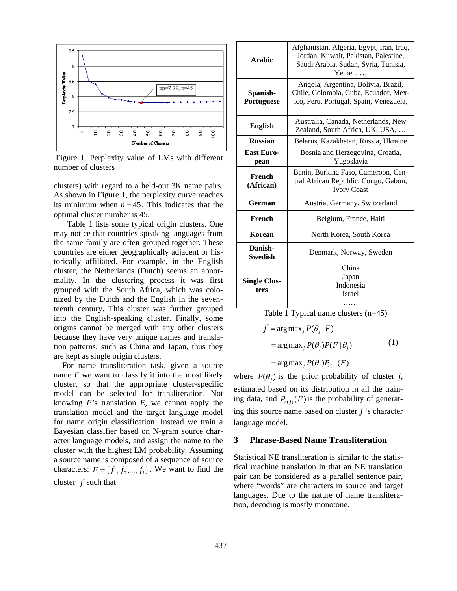

 Figure 1. Perplexity value of LMs with different number of clusters

clusters) with regard to a held-out 3K name pairs. As shown in Figure 1, the perplexity curve reaches its minimum when  $n = 45$ . This indicates that the optimal cluster number is 45.

Table 1 lists some typical origin clusters. One may notice that countries speaking languages from the same family are often grouped together. These countries are either geographically adjacent or historically affiliated. For example, in the English cluster, the Netherlands (Dutch) seems an abnormality. In the clustering process it was first grouped with the South Africa, which was colonized by the Dutch and the English in the seventeenth century. This cluster was further grouped into the English-speaking cluster. Finally, some origins cannot be merged with any other clusters because they have very unique names and translation patterns, such as China and Japan, thus they are kept as single origin clusters.

For name transliteration task, given a source name *F* we want to classify it into the most likely cluster, so that the appropriate cluster-specific model can be selected for transliteration. Not knowing *F'*s translation *E*, we cannot apply the translation model and the target language model for name origin classification. Instead we train a Bayesian classifier based on N-gram source character language models, and assign the name to the cluster with the highest LM probability. Assuming a source name is composed of a sequence of source characters:  $F = \{f_1, f_2, ..., f_l\}$ . We want to find the cluster  $j^*$  such that

| <b>Arabic</b>               | Afghanistan, Algeria, Egypt, Iran, Iraq,<br>Jordan, Kuwait, Pakistan, Palestine,<br>Saudi Arabia, Sudan, Syria, Tunisia,<br>$Y$ emen, |  |  |
|-----------------------------|---------------------------------------------------------------------------------------------------------------------------------------|--|--|
| Spanish-<br>Portuguese      | Angola, Argentina, Bolivia, Brazil,<br>Chile, Colombia, Cuba, Ecuador, Mex-<br>ico, Peru, Portugal, Spain, Venezuela,                 |  |  |
| <b>English</b>              | Australia, Canada, Netherlands, New<br>Zealand, South Africa, UK, USA,                                                                |  |  |
| <b>Russian</b>              | Belarus, Kazakhstan, Russia, Ukraine                                                                                                  |  |  |
| <b>East Euro-</b><br>pean   | Bosnia and Herzegovina, Croatia,<br>Yugoslavia                                                                                        |  |  |
| French<br>(African)         | Benin, Burkina Faso, Cameroon, Cen-<br>tral African Republic, Congo, Gabon,<br><b>Ivory Coast</b>                                     |  |  |
| German                      | Austria, Germany, Switzerland                                                                                                         |  |  |
| French                      | Belgium, France, Haiti                                                                                                                |  |  |
| Korean                      | North Korea, South Korea                                                                                                              |  |  |
| Danish-<br>Swedish          | Denmark, Norway, Sweden                                                                                                               |  |  |
| <b>Single Clus-</b><br>ters | China<br>Japan<br>Indonesia<br>Israel                                                                                                 |  |  |

Table 1 Typical name clusters (n=45)

$$
j^* = \arg \max_j P(\theta_j | F)
$$
  
=  $\arg \max_j P(\theta_j) P(F | \theta_j)$  (1)  
=  $\arg \max_j P(\theta_j) P_{c(j)}(F)$ 

where  $P(\theta_i)$  is the prior probability of cluster *j*, estimated based on its distribution in all the training data, and  $P_{c(j)}(F)$  is the probability of generating this source name based on cluster *j* 's character language model.

### **3 Phrase-Based Name Transliteration**

Statistical NE transliteration is similar to the statistical machine translation in that an NE translation pair can be considered as a parallel sentence pair, where "words" are characters in source and target languages. Due to the nature of name transliteration, decoding is mostly monotone.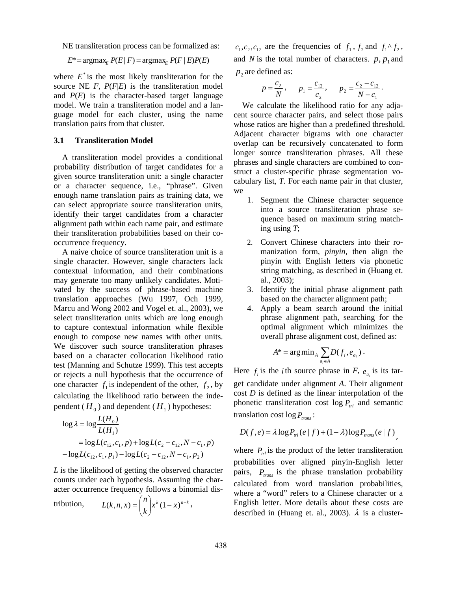NE transliteration process can be formalized as:

$$
E^* = \operatorname{argmax}_E P(E \mid F) = \operatorname{argmax}_E P(F \mid E) P(E)
$$

where  $E^*$  is the most likely transliteration for the source NE  $F$ ,  $P(F|E)$  is the transliteration model and  $P(E)$  is the character-based target language model. We train a transliteration model and a language model for each cluster, using the name translation pairs from that cluster.

### **3.1 Transliteration Model**

A transliteration model provides a conditional probability distribution of target candidates for a given source transliteration unit: a single character or a character sequence, i.e., "phrase". Given enough name translation pairs as training data, we can select appropriate source transliteration units, identify their target candidates from a character alignment path within each name pair, and estimate their transliteration probabilities based on their cooccurrence frequency.

A naive choice of source transliteration unit is a single character. However, single characters lack contextual information, and their combinations may generate too many unlikely candidates. Motivated by the success of phrase-based machine translation approaches (Wu 1997, Och 1999, Marcu and Wong 2002 and Vogel et. al., 2003), we select transliteration units which are long enough to capture contextual information while flexible enough to compose new names with other units. We discover such source transliteration phrases based on a character collocation likelihood ratio test (Manning and Schutze 1999). This test accepts or rejects a null hypothesis that the occurrence of one character  $f_1$  is independent of the other,  $f_2$ , by calculating the likelihood ratio between the independent ( $H_0$ ) and dependent ( $H_1$ ) hypotheses:

$$
\log \lambda = \log \frac{L(H_0)}{L(H_1)}
$$
  
=  $\log L(c_{12}, c_1, p) + \log L(c_2 - c_{12}, N - c_1, p)$   
-  $\log L(c_{12}, c_1, p_1) - \log L(c_2 - c_{12}, N - c_1, p_2)$ 

*L* is the likelihood of getting the observed character counts under each hypothesis. Assuming the character occurrence frequency follows a binomial dis-

$$
\text{tribution, } L(k, n, x) = \binom{n}{k} x^k (1 - x)^{n-k},
$$

 $c_1, c_2, c_{12}$  are the frequencies of  $f_1$ ,  $f_2$  and  $f_1 \uparrow f_2$ , and *N* is the total number of characters.  $p, p_1$  and  $p_2$  are defined as:

$$
p = \frac{c_2}{N}
$$
,  $p_1 = \frac{c_{12}}{c_2}$ ,  $p_2 = \frac{c_2 - c_{12}}{N - c_1}$ .

We calculate the likelihood ratio for any adjacent source character pairs, and select those pairs whose ratios are higher than a predefined threshold. Adjacent character bigrams with one character overlap can be recursively concatenated to form longer source transliteration phrases. All these phrases and single characters are combined to construct a cluster-specific phrase segmentation vocabulary list, *T*. For each name pair in that cluster, we

- 1. Segment the Chinese character sequence into a source transliteration phrase sequence based on maximum string matching using *T*;
- 2. Convert Chinese characters into their romanization form, *pinyin*, then align the pinyin with English letters via phonetic string matching, as described in (Huang et. al., 2003);
- 3. Identify the initial phrase alignment path based on the character alignment path;
- 4. Apply a beam search around the initial phrase alignment path, searching for the optimal alignment which minimizes the overall phrase alignment cost, defined as:

$$
A^* = \arg\min_{A} \sum_{a_i \in A} D(f_i, e_{a_i}).
$$

Here  $f_i$  is the *i* th source phrase in *F*,  $e_{a_i}$  is its target candidate under alignment *A*. Their alignment cost *D* is defined as the linear interpolation of the phonetic transliteration cost  $\log P_{trl}$  and semantic translation cost  $\log P_{trans}$ :

$$
D(f,e) = \lambda \log P_{\text{trl}}(e \mid f) + (1 - \lambda) \log P_{\text{trans}}(e \mid f),
$$

where  $P_{trl}$  is the product of the letter transliteration probabilities over aligned pinyin-English letter pairs,  $P_{trans}$  is the phrase translation probability calculated from word translation probabilities, where a "word" refers to a Chinese character or a English letter. More details about these costs are described in (Huang et. al., 2003).  $\lambda$  is a cluster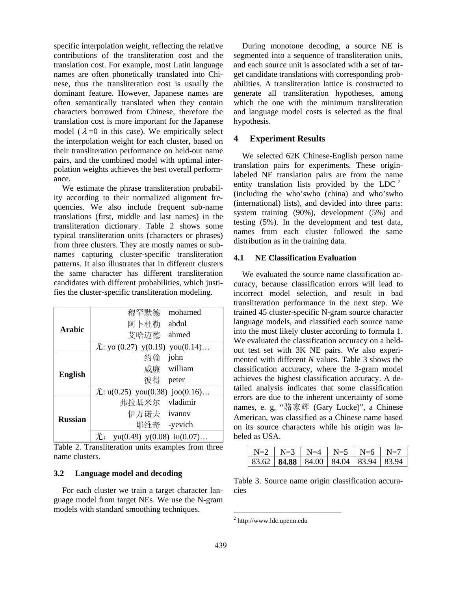specific interpolation weight, reflecting the relative contributions of the transliteration cost and the translation cost. For example, most Latin language names are often phonetically translated into Chinese, thus the transliteration cost is usually the dominant feature. However, Japanese names are often semantically translated when they contain characters borrowed from Chinese, therefore the translation cost is more important for the Japanese model ( $\lambda = 0$  in this case). We empirically select the interpolation weight for each cluster, based on their transliteration performance on held-out name pairs, and the combined model with optimal interpolation weights achieves the best overall performance.

We estimate the phrase transliteration probability according to their normalized alignment frequencies. We also include frequent sub-name translations (first, middle and last names) in the transliteration dictionary. Table 2 shows some typical transliteration units (characters or phrases) from three clusters. They are mostly names or subnames capturing cluster-specific transliteration patterns. It also illustrates that in different clusters the same character has different transliteration candidates with different probabilities, which justifies the cluster-specific transliteration modeling.

| <b>Arabic</b>  | 穆罕默德                                              | mohamed  |
|----------------|---------------------------------------------------|----------|
|                | 阿卜杜勒                                              | abdul    |
|                | 艾哈迈德                                              | ahmed    |
|                | $\hat{\mathcal{L}}$ : yo (0.27) y(0.19) you(0.14) |          |
| <b>English</b> | 约翰                                                | john     |
|                | 威廉                                                | william  |
|                | 彼得                                                | peter    |
|                | $\hat{\pi}$ : u(0.25) you(0.38) joo(0.16)         |          |
| <b>Russian</b> | 弗拉基米尔                                             | vladimir |
|                | 伊万诺夫 ivanov                                       |          |
|                | -耶维奇 -yevich                                      |          |
|                | $yu(0.49)$ $y(0.08)$ $iu(0.07)$<br>尤:             |          |

Table 2. Transliteration units examples from three name clusters.

#### **3.2 Language model and decoding**

For each cluster we train a target character language model from target NEs. We use the N-gram models with standard smoothing techniques.

During monotone decoding, a source NE is segmented into a sequence of transliteration units, and each source unit is associated with a set of target candidate translations with corresponding probabilities. A transliteration lattice is constructed to generate all transliteration hypotheses, among which the one with the minimum transliteration and language model costs is selected as the final hypothesis.

# **4 Experiment Results**

We selected 62K Chinese-English person name translation pairs for experiments. These originlabeled NE translation pairs are from the name entity translation lists provided by the LDC  $2$ (including the who'swho (china) and who'swho (international) lists), and devided into three parts: system training (90%), development (5%) and testing (5%). In the development and test data, names from each cluster followed the same distribution as in the training data.

#### **4.1 NE Classification Evaluation**

We evaluated the source name classification accuracy, because classification errors will lead to incorrect model selection, and result in bad transliteration performance in the next step. We trained 45 cluster-specific N-gram source character language models, and classified each source name into the most likely cluster according to formula 1. We evaluated the classification accuracy on a heldout test set with 3K NE pairs. We also experimented with different *N* values. Table 3 shows the classification accuracy, where the 3-gram model achieves the highest classification accuracy. A detailed analysis indicates that some classification errors are due to the inherent uncertainty of some names, e. g, "骆家辉 (Gary Locke)", a Chinese American, was classified as a Chinese name based on its source characters while his origin was labeled as USA.

|  | $N=2$   $N=3$   $N=4$   $N=5$   $N=6$   $N=7$        |  |  |
|--|------------------------------------------------------|--|--|
|  | 83.62   <b>84.88</b>   84.00   84.04   83.94   83.94 |  |  |

Table 3. Source name origin classification accuracies

 $\overline{a}$ 

<sup>2</sup> http://www.ldc.upenn.edu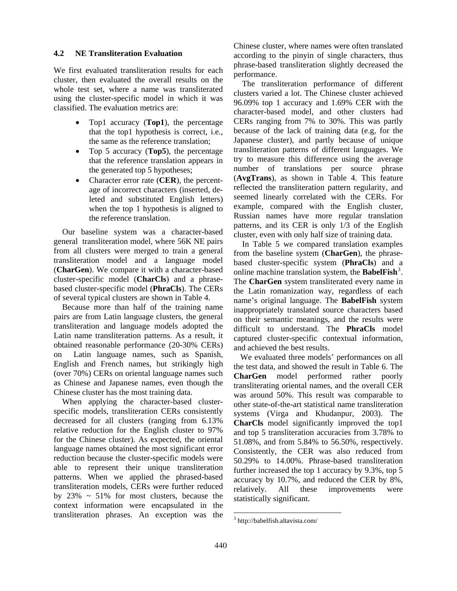#### **4.2 NE Transliteration Evaluation**

We first evaluated transliteration results for each cluster, then evaluated the overall results on the whole test set, where a name was transliterated using the cluster-specific model in which it was classified. The evaluation metrics are:

- Top1 accuracy (**Top1**), the percentage that the top1 hypothesis is correct, i.e., the same as the reference translation;
- Top 5 accuracy (**Top5**), the percentage that the reference translation appears in the generated top 5 hypotheses;
- Character error rate (**CER**), the percentage of incorrect characters (inserted, deleted and substituted English letters) when the top 1 hypothesis is aligned to the reference translation.

Our baseline system was a character-based general transliteration model, where 56K NE pairs from all clusters were merged to train a general transliteration model and a language model (**CharGen**). We compare it with a character-based cluster-specific model (**CharCls**) and a phrasebased cluster-specific model (**PhraCls**). The CERs of several typical clusters are shown in Table 4.

Because more than half of the training name pairs are from Latin language clusters, the general transliteration and language models adopted the Latin name transliteration patterns. As a result, it obtained reasonable performance (20-30% CERs) on Latin language names, such as Spanish, English and French names, but strikingly high (over 70%) CERs on oriental language names such as Chinese and Japanese names, even though the Chinese cluster has the most training data.

When applying the character-based clusterspecific models, transliteration CERs consistently decreased for all clusters (ranging from 6.13% relative reduction for the English cluster to 97% for the Chinese cluster). As expected, the oriental language names obtained the most significant error reduction because the cluster-specific models were able to represent their unique transliteration patterns. When we applied the phrased-based transliteration models, CERs were further reduced by  $23\% \sim 51\%$  for most clusters, because the context information were encapsulated in the transliteration phrases. An exception was the Chinese cluster, where names were often translated according to the pinyin of single characters, thus phrase-based transliteration slightly decreased the performance.

The transliteration performance of different clusters varied a lot. The Chinese cluster achieved 96.09% top 1 accuracy and 1.69% CER with the character-based model, and other clusters had CERs ranging from 7% to 30%. This was partly because of the lack of training data (e.g, for the Japanese cluster), and partly because of unique transliteration patterns of different languages. We try to measure this difference using the average number of translations per source phrase (**AvgTrans**), as shown in Table 4. This feature reflected the transliteration pattern regularity, and seemed linearly correlated with the CERs. For example, compared with the English cluster, Russian names have more regular translation patterns, and its CER is only 1/3 of the English cluster, even with only half size of training data.

In Table 5 we compared translation examples from the baseline system (**CharGen**), the phrasebased cluster-specific system (**PhraCls**) and a online machine translation system, the **BabelFish**<sup>3</sup>. The **CharGen** system transliterated every name in the Latin romanization way, regardless of each name's original language. The **BabelFish** system inappropriately translated source characters based on their semantic meanings, and the results were difficult to understand. The **PhraCls** model captured cluster-specific contextual information, and achieved the best results.

We evaluated three models' performances on all the test data, and showed the result in Table 6. The **CharGen** model performed rather poorly transliterating oriental names, and the overall CER was around 50%. This result was comparable to other state-of-the-art statistical name transliteration systems (Virga and Khudanpur, 2003). The **CharCls** model significantly improved the top1 and top 5 transliteration accuracies from 3.78% to 51.08%, and from 5.84% to 56.50%, respectively. Consistently, the CER was also reduced from 50.29% to 14.00%. Phrase-based transliteration further increased the top 1 accuracy by 9.3%, top 5 accuracy by 10.7%, and reduced the CER by 8%, relatively. All these improvements were statistically significant.

 $\overline{a}$ 

<sup>3</sup> http://babelfish.altavista.com/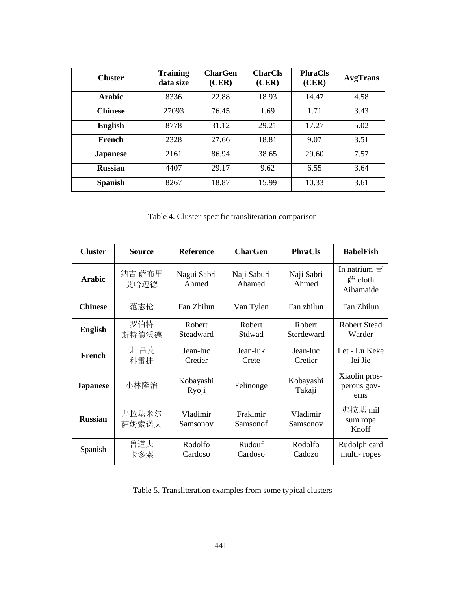| <b>Cluster</b>  | <b>Training</b><br>data size | <b>CharGen</b><br>(CER) | <b>CharCls</b><br>(CER) | <b>PhraCls</b><br>(CER) | <b>AvgTrans</b> |
|-----------------|------------------------------|-------------------------|-------------------------|-------------------------|-----------------|
| Arabic          | 8336                         | 22.88                   | 18.93                   | 14.47                   | 4.58            |
| <b>Chinese</b>  | 27093                        | 76.45                   | 1.69                    | 1.71                    | 3.43            |
| <b>English</b>  | 8778                         | 31.12                   | 29.21                   | 17.27                   | 5.02            |
| French          | 2328                         | 27.66                   | 18.81                   | 9.07                    | 3.51            |
| <b>Japanese</b> | 2161                         | 86.94                   | 38.65                   | 29.60                   | 7.57            |
| <b>Russian</b>  | 4407                         | 29.17                   | 9.62                    | 6.55                    | 3.64            |
| <b>Spanish</b>  | 8267                         | 18.87                   | 15.99                   | 10.33                   | 3.61            |

Table 4. Cluster-specific transliteration comparison

| <b>Cluster</b>  | <b>Source</b>  | <b>Reference</b>     | <b>CharGen</b>        | <b>PhraCls</b>       | <b>BabelFish</b>                         |
|-----------------|----------------|----------------------|-----------------------|----------------------|------------------------------------------|
| <b>Arabic</b>   | 纳吉 萨布里<br>艾哈迈德 | Nagui Sabri<br>Ahmed | Naji Saburi<br>Ahamed | Naji Sabri<br>Ahmed  | In natrium $\pm$<br>萨 cloth<br>Aihamaide |
| <b>Chinese</b>  | 范志伦            | Fan Zhilun           | Van Tylen             | Fan zhilun           | Fan Zhilun                               |
| <b>English</b>  | 罗伯特<br>斯特德沃德   | Robert<br>Steadward  | Robert<br>Stdwad      | Robert<br>Sterdeward | <b>Robert Stead</b><br>Warder            |
| French          | 让-吕克<br>科雷捷    | Jean-luc<br>Cretier  | Jean-luk<br>Crete     | Jean-luc<br>Cretier  | Let - Lu Keke<br>lei Jie                 |
| <b>Japanese</b> | 小林隆治           | Kobayashi<br>Ryoji   | Felinonge             | Kobayashi<br>Takaji  | Xiaolin pros-<br>perous gov-<br>erns     |
| <b>Russian</b>  | 弗拉基米尔<br>萨姆索诺夫 | Vladimir<br>Samsonov | Frakimir<br>Samsonof  | Vladimir<br>Samsonov | 弗拉基 mil<br>sum rope<br>Knoff             |
| Spanish         | 鲁道夫<br>卡多索     | Rodolfo<br>Cardoso   | Rudouf<br>Cardoso     | Rodolfo<br>Cadozo    | Rudolph card<br>multi-ropes              |

Table 5. Transliteration examples from some typical clusters